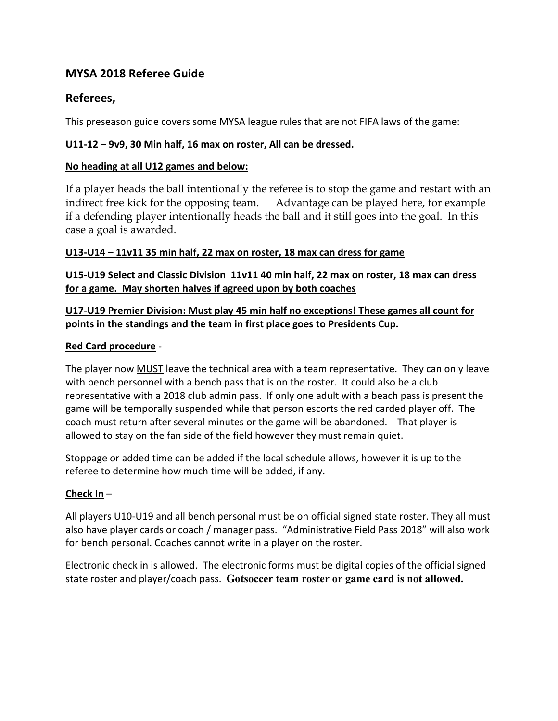# **MYSA 2018 Referee Guide**

# **Referees,**

This preseason guide covers some MYSA league rules that are not FIFA laws of the game:

### **U11-12 – 9v9, 30 Min half, 16 max on roster, All can be dressed.**

### **No heading at all U12 games and below:**

If a player heads the ball intentionally the referee is to stop the game and restart with an indirect free kick for the opposing team. Advantage can be played here, for example if a defending player intentionally heads the ball and it still goes into the goal. In this case a goal is awarded.

## **U13-U14 – 11v11 35 min half, 22 max on roster, 18 max can dress for game**

## **U15-U19 Select and Classic Division 11v11 40 min half, 22 max on roster, 18 max can dress for a game. May shorten halves if agreed upon by both coaches**

# **U17-U19 Premier Division: Must play 45 min half no exceptions! These games all count for points in the standings and the team in first place goes to Presidents Cup.**

## **Red Card procedure** -

The player now MUST leave the technical area with a team representative. They can only leave with bench personnel with a bench pass that is on the roster. It could also be a club representative with a 2018 club admin pass. If only one adult with a beach pass is present the game will be temporally suspended while that person escorts the red carded player off. The coach must return after several minutes or the game will be abandoned. That player is allowed to stay on the fan side of the field however they must remain quiet.

Stoppage or added time can be added if the local schedule allows, however it is up to the referee to determine how much time will be added, if any.

# **Check In** –

All players U10-U19 and all bench personal must be on official signed state roster. They all must also have player cards or coach / manager pass. "Administrative Field Pass 2018" will also work for bench personal. Coaches cannot write in a player on the roster.

Electronic check in is allowed. The electronic forms must be digital copies of the official signed state roster and player/coach pass. **Gotsoccer team roster or game card is not allowed.**